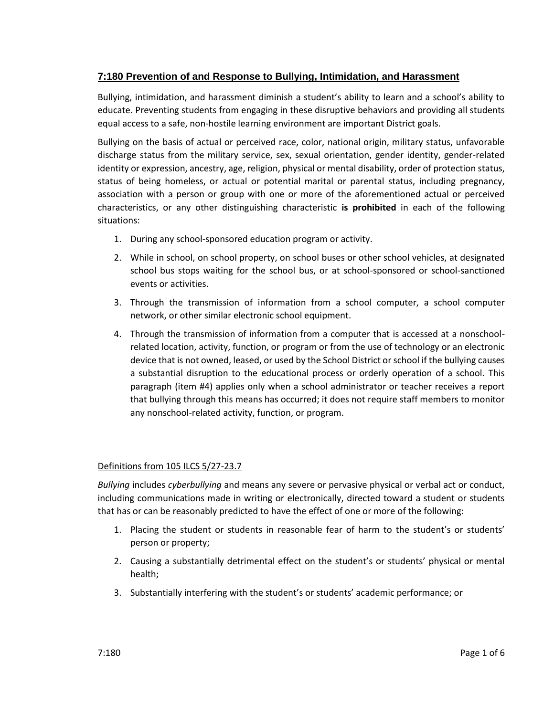# **7:180 Prevention of and Response to Bullying, Intimidation, and Harassment**

Bullying, intimidation, and harassment diminish a student's ability to learn and a school's ability to educate. Preventing students from engaging in these disruptive behaviors and providing all students equal access to a safe, non-hostile learning environment are important District goals.

Bullying on the basis of actual or perceived race, color, national origin, military status, unfavorable discharge status from the military service, sex, sexual orientation, gender identity, gender-related identity or expression, ancestry, age, religion, physical or mental disability, order of protection status, status of being homeless, or actual or potential marital or parental status, including pregnancy, association with a person or group with one or more of the aforementioned actual or perceived characteristics, or any other distinguishing characteristic **is prohibited** in each of the following situations:

- 1. During any school-sponsored education program or activity.
- 2. While in school, on school property, on school buses or other school vehicles, at designated school bus stops waiting for the school bus, or at school-sponsored or school-sanctioned events or activities.
- 3. Through the transmission of information from a school computer, a school computer network, or other similar electronic school equipment.
- 4. Through the transmission of information from a computer that is accessed at a nonschoolrelated location, activity, function, or program or from the use of technology or an electronic device that is not owned, leased, or used by the School District or school if the bullying causes a substantial disruption to the educational process or orderly operation of a school. This paragraph (item #4) applies only when a school administrator or teacher receives a report that bullying through this means has occurred; it does not require staff members to monitor any nonschool-related activity, function, or program.

## Definitions from 105 ILCS 5/27-23.7

*Bullying* includes *cyberbullying* and means any severe or pervasive physical or verbal act or conduct, including communications made in writing or electronically, directed toward a student or students that has or can be reasonably predicted to have the effect of one or more of the following:

- 1. Placing the student or students in reasonable fear of harm to the student's or students' person or property;
- 2. Causing a substantially detrimental effect on the student's or students' physical or mental health;
- 3. Substantially interfering with the student's or students' academic performance; or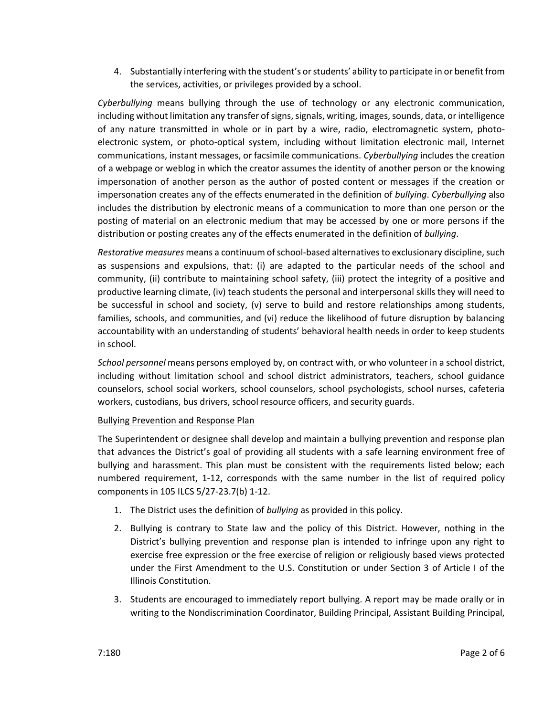4. Substantially interfering with the student's or students' ability to participate in or benefit from the services, activities, or privileges provided by a school.

*Cyberbullying* means bullying through the use of technology or any electronic communication, including without limitation any transfer of signs, signals, writing, images, sounds, data, or intelligence of any nature transmitted in whole or in part by a wire, radio, electromagnetic system, photoelectronic system, or photo-optical system, including without limitation electronic mail, Internet communications, instant messages, or facsimile communications. *Cyberbullying* includes the creation of a webpage or weblog in which the creator assumes the identity of another person or the knowing impersonation of another person as the author of posted content or messages if the creation or impersonation creates any of the effects enumerated in the definition of *bullying*. *Cyberbullying* also includes the distribution by electronic means of a communication to more than one person or the posting of material on an electronic medium that may be accessed by one or more persons if the distribution or posting creates any of the effects enumerated in the definition of *bullying*.

*Restorative measures* means a continuum of school-based alternatives to exclusionary discipline, such as suspensions and expulsions, that: (i) are adapted to the particular needs of the school and community, (ii) contribute to maintaining school safety, (iii) protect the integrity of a positive and productive learning climate, (iv) teach students the personal and interpersonal skills they will need to be successful in school and society, (v) serve to build and restore relationships among students, families, schools, and communities, and (vi) reduce the likelihood of future disruption by balancing accountability with an understanding of students' behavioral health needs in order to keep students in school.

*School personnel* means persons employed by, on contract with, or who volunteer in a school district, including without limitation school and school district administrators, teachers, school guidance counselors, school social workers, school counselors, school psychologists, school nurses, cafeteria workers, custodians, bus drivers, school resource officers, and security guards.

## Bullying Prevention and Response Plan

The Superintendent or designee shall develop and maintain a bullying prevention and response plan that advances the District's goal of providing all students with a safe learning environment free of bullying and harassment. This plan must be consistent with the requirements listed below; each numbered requirement, 1-12, corresponds with the same number in the list of required policy components in 105 ILCS 5/27-23.7(b) 1-12.

- 1. The District uses the definition of *bullying* as provided in this policy.
- 2. Bullying is contrary to State law and the policy of this District. However, nothing in the District's bullying prevention and response plan is intended to infringe upon any right to exercise free expression or the free exercise of religion or religiously based views protected under the First Amendment to the U.S. Constitution or under Section 3 of Article I of the Illinois Constitution.
- 3. Students are encouraged to immediately report bullying. A report may be made orally or in writing to the Nondiscrimination Coordinator, Building Principal, Assistant Building Principal,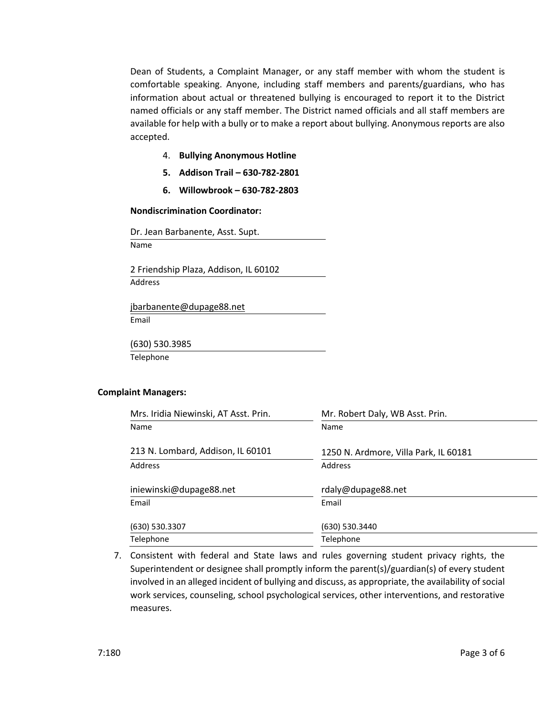Dean of Students, a Complaint Manager, or any staff member with whom the student is comfortable speaking. Anyone, including staff members and parents/guardians, who has information about actual or threatened bullying is encouraged to report it to the District named officials or any staff member. The District named officials and all staff members are available for help with a bully or to make a report about bullying. Anonymous reports are also accepted.

- 4. **Bullying Anonymous Hotline**
- **5. Addison Trail – 630-782-2801**
- **6. Willowbrook – 630-782-2803**

#### **Nondiscrimination Coordinator:**

Dr. Jean Barbanente, Asst. Supt. Name

2 Friendship Plaza, Addison, IL 60102 Address

[jbarbanente@dupage88.net](mailto:jbarbanente@dupage88.net) Email

(630) 530.3985 Telephone

#### **Complaint Managers:**

| Mrs. Iridia Niewinski, AT Asst. Prin. | Mr. Robert Daly, WB Asst. Prin.       |
|---------------------------------------|---------------------------------------|
| Name                                  | Name                                  |
| 213 N. Lombard, Addison, IL 60101     | 1250 N. Ardmore, Villa Park, IL 60181 |
| Address                               | Address                               |
| iniewinski@dupage88.net               | rdaly@dupage88.net                    |
| Email                                 | Email                                 |
| (630) 530.3307                        | (630) 530.3440                        |
| Telephone                             | Telephone                             |

7. Consistent with federal and State laws and rules governing student privacy rights, the Superintendent or designee shall promptly inform the parent(s)/guardian(s) of every student involved in an alleged incident of bullying and discuss, as appropriate, the availability of social work services, counseling, school psychological services, other interventions, and restorative measures.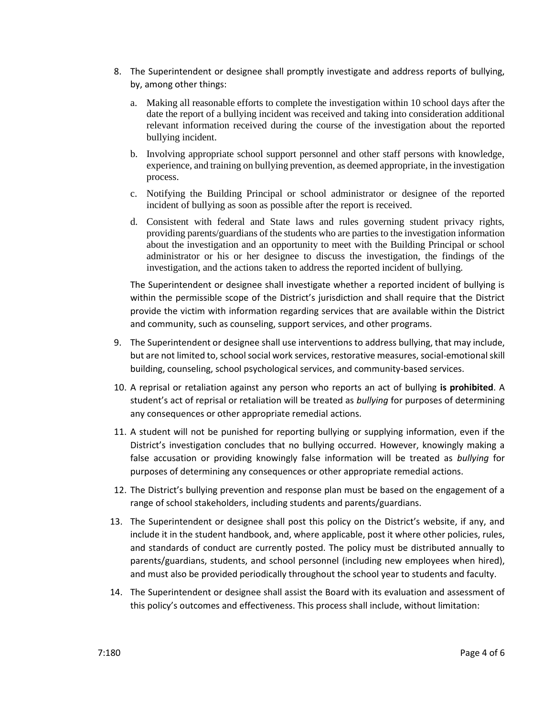- 8. The Superintendent or designee shall promptly investigate and address reports of bullying, by, among other things:
	- a. Making all reasonable efforts to complete the investigation within 10 school days after the date the report of a bullying incident was received and taking into consideration additional relevant information received during the course of the investigation about the reported bullying incident.
	- b. Involving appropriate school support personnel and other staff persons with knowledge, experience, and training on bullying prevention, as deemed appropriate, in the investigation process.
	- c. Notifying the Building Principal or school administrator or designee of the reported incident of bullying as soon as possible after the report is received.
	- d. Consistent with federal and State laws and rules governing student privacy rights, providing parents/guardians of the students who are parties to the investigation information about the investigation and an opportunity to meet with the Building Principal or school administrator or his or her designee to discuss the investigation, the findings of the investigation, and the actions taken to address the reported incident of bullying.

The Superintendent or designee shall investigate whether a reported incident of bullying is within the permissible scope of the District's jurisdiction and shall require that the District provide the victim with information regarding services that are available within the District and community, such as counseling, support services, and other programs.

- 9. The Superintendent or designee shall use interventions to address bullying, that may include, but are not limited to, school social work services, restorative measures, social-emotional skill building, counseling, school psychological services, and community-based services.
- 10. A reprisal or retaliation against any person who reports an act of bullying **is prohibited**. A student's act of reprisal or retaliation will be treated as *bullying* for purposes of determining any consequences or other appropriate remedial actions.
- 11. A student will not be punished for reporting bullying or supplying information, even if the District's investigation concludes that no bullying occurred. However, knowingly making a false accusation or providing knowingly false information will be treated as *bullying* for purposes of determining any consequences or other appropriate remedial actions.
- 12. The District's bullying prevention and response plan must be based on the engagement of a range of school stakeholders, including students and parents/guardians.
- 13. The Superintendent or designee shall post this policy on the District's website, if any, and include it in the student handbook, and, where applicable, post it where other policies, rules, and standards of conduct are currently posted. The policy must be distributed annually to parents/guardians, students, and school personnel (including new employees when hired), and must also be provided periodically throughout the school year to students and faculty.
- 14. The Superintendent or designee shall assist the Board with its evaluation and assessment of this policy's outcomes and effectiveness. This process shall include, without limitation: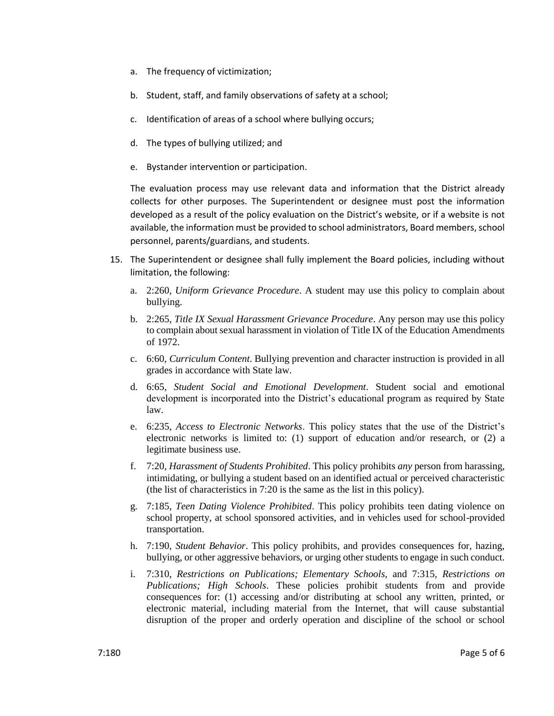- a. The frequency of victimization;
- b. Student, staff, and family observations of safety at a school;
- c. Identification of areas of a school where bullying occurs;
- d. The types of bullying utilized; and
- e. Bystander intervention or participation.

The evaluation process may use relevant data and information that the District already collects for other purposes. The Superintendent or designee must post the information developed as a result of the policy evaluation on the District's website, or if a website is not available, the information must be provided to school administrators, Board members, school personnel, parents/guardians, and students.

- 15. The Superintendent or designee shall fully implement the Board policies, including without limitation, the following:
	- a. 2:260, *Uniform Grievance Procedure*. A student may use this policy to complain about bullying.
	- b. 2:265, *Title IX Sexual Harassment Grievance Procedure*. Any person may use this policy to complain about sexual harassment in violation of Title IX of the Education Amendments of 1972.
	- c. 6:60, *Curriculum Content*. Bullying prevention and character instruction is provided in all grades in accordance with State law.
	- d. 6:65, *Student Social and Emotional Development*. Student social and emotional development is incorporated into the District's educational program as required by State law.
	- e. 6:235, *Access to Electronic Networks*. This policy states that the use of the District's electronic networks is limited to: (1) support of education and/or research, or (2) a legitimate business use.
	- f. 7:20, *Harassment of Students Prohibited*. This policy prohibits *any* person from harassing, intimidating, or bullying a student based on an identified actual or perceived characteristic (the list of characteristics in 7:20 is the same as the list in this policy).
	- g. 7:185, *Teen Dating Violence Prohibited*. This policy prohibits teen dating violence on school property, at school sponsored activities, and in vehicles used for school-provided transportation.
	- h. 7:190, *Student Behavior*. This policy prohibits, and provides consequences for, hazing, bullying, or other aggressive behaviors, or urging other students to engage in such conduct.
	- i. 7:310, *Restrictions on Publications; Elementary Schools,* and 7:315, *Restrictions on Publications; High Schools*. These policies prohibit students from and provide consequences for: (1) accessing and/or distributing at school any written, printed, or electronic material, including material from the Internet, that will cause substantial disruption of the proper and orderly operation and discipline of the school or school